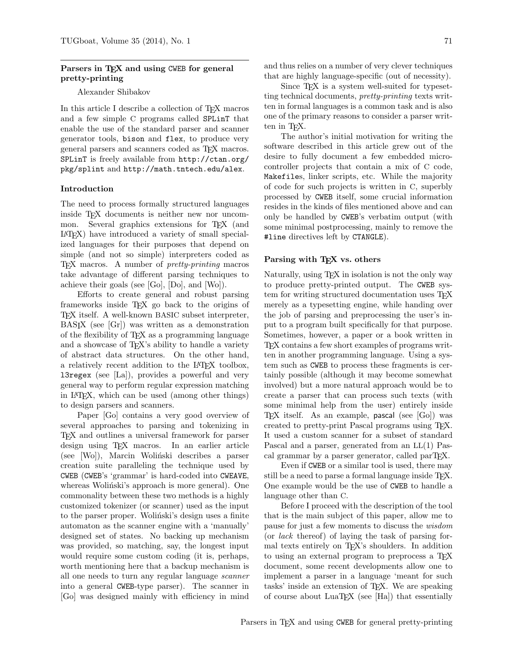# Parsers in TEX and using CWEB for general pretty-printing

### Alexander Shibakov

In this article I describe a collection of TEX macros and a few simple C programs called SPLinT that enable the use of the standard parser and scanner generator tools, bison and flex, to produce very general parsers and scanners coded as TEX macros. SPLinT is freely available from http://ctan.org/ pkg/splint and http://math.tntech.edu/alex.

### Introduction

The need to process formally structured languages inside TEX documents is neither new nor uncommon. Several graphics extensions for T<sub>F</sub>X (and LATEX) have introduced a variety of small specialized languages for their purposes that depend on simple (and not so simple) interpreters coded as TEX macros. A number of pretty-printing macros take advantage of different parsing techniques to achieve their goals (see [Go], [Do], and [Wo]).

Efforts to create general and robust parsing frameworks inside TEX go back to the origins of TEX itself. A well-known BASIC subset interpreter, BASIX (see [Gr]) was written as a demonstration of the flexibility of TEX as a programming language and a showcase of T<sub>EX</sub>'s ability to handle a variety of abstract data structures. On the other hand, a relatively recent addition to the LATEX toolbox, l3regex (see [La]), provides a powerful and very general way to perform regular expression matching in LATEX, which can be used (among other things) to design parsers and scanners.

Paper [Go] contains a very good overview of several approaches to parsing and tokenizing in TEX and outlines a universal framework for parser design using T<sub>EX</sub> macros. In an earlier article (see [Wo]), Marcin Woliński describes a parser creation suite paralleling the technique used by CWEB (CWEB's 'grammar' is hard-coded into CWEAVE, whereas Woliński's approach is more general). One commonality between these two methods is a highly customized tokenizer (or scanner) used as the input to the parser proper. Wolinski's design uses a finite automaton as the scanner engine with a 'manually' designed set of states. No backing up mechanism was provided, so matching, say, the longest input would require some custom coding (it is, perhaps, worth mentioning here that a backup mechanism is all one needs to turn any regular language scanner into a general CWEB-type parser). The scanner in [Go] was designed mainly with efficiency in mind

and thus relies on a number of very clever techniques that are highly language-specific (out of necessity).

Since TEX is a system well-suited for typesetting technical documents, pretty-printing texts written in formal languages is a common task and is also one of the primary reasons to consider a parser written in T<sub>F</sub>X.

The author's initial motivation for writing the software described in this article grew out of the desire to fully document a few embedded microcontroller projects that contain a mix of C code, Makefiles, linker scripts, etc. While the majority of code for such projects is written in C, superbly processed by CWEB itself, some crucial information resides in the kinds of files mentioned above and can only be handled by CWEB's verbatim output (with some minimal postprocessing, mainly to remove the #line directives left by CTANGLE).

# Parsing with TEX vs. others

Naturally, using T<sub>F</sub>X in isolation is not the only way to produce pretty-printed output. The CWEB system for writing structured documentation uses TEX merely as a typesetting engine, while handing over the job of parsing and preprocessing the user's input to a program built specifically for that purpose. Sometimes, however, a paper or a book written in TEX contains a few short examples of programs written in another programming language. Using a system such as CWEB to process these fragments is certainly possible (although it may become somewhat involved) but a more natural approach would be to create a parser that can process such texts (with some minimal help from the user) entirely inside TEX itself. As an example, pascal (see [Go]) was created to pretty-print Pascal programs using TEX. It used a custom scanner for a subset of standard Pascal and a parser, generated from an LL(1) Pascal grammar by a parser generator, called parTEX.

Even if CWEB or a similar tool is used, there may still be a need to parse a formal language inside TEX. One example would be the use of CWEB to handle a language other than C.

Before I proceed with the description of the tool that is the main subject of this paper, allow me to pause for just a few moments to discuss the wisdom (or lack thereof) of laying the task of parsing formal texts entirely on TEX's shoulders. In addition to using an external program to preprocess a TEX document, some recent developments allow one to implement a parser in a language 'meant for such tasks' inside an extension of TEX. We are speaking of course about LuaTEX (see [Ha]) that essentially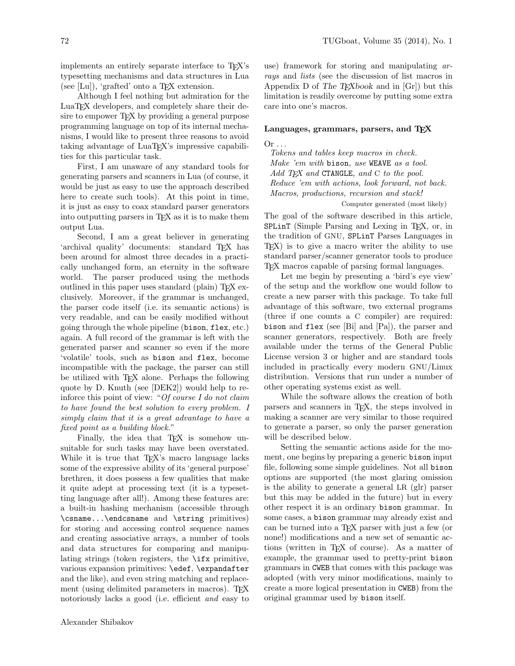implements an entirely separate interface to T<sub>EX</sub>'s typesetting mechanisms and data structures in Lua (see [Lu]), 'grafted' onto a  $TFX$  extension.

Although I feel nothing but admiration for the LuaTEX developers, and completely share their desire to empower T<sub>F</sub>X by providing a general purpose programming language on top of its internal mechanisms, I would like to present three reasons to avoid taking advantage of LuaT<sub>EX</sub>'s impressive capabilities for this particular task.

First, I am unaware of any standard tools for generating parsers and scanners in Lua (of course, it would be just as easy to use the approach described here to create such tools). At this point in time, it is just as easy to coax standard parser generators into outputting parsers in T<sub>E</sub>X as it is to make them output Lua.

Second, I am a great believer in generating 'archival quality' documents: standard TEX has been around for almost three decades in a practically unchanged form, an eternity in the software world. The parser produced using the methods outlined in this paper uses standard (plain) TEX exclusively. Moreover, if the grammar is unchanged, the parser code itself (i.e. its semantic actions) is very readable, and can be easily modified without going through the whole pipeline (bison, flex, etc.) again. A full record of the grammar is left with the generated parser and scanner so even if the more 'volatile' tools, such as bison and flex, become incompatible with the package, the parser can still be utilized with T<sub>EX</sub> alone. Perhaps the following quote by D. Knuth (see [DEK2]) would help to reinforce this point of view: "Of course I do not claim to have found the best solution to every problem. I simply claim that it is a great advantage to have a fixed point as a building block."

Finally, the idea that TEX is somehow unsuitable for such tasks may have been overstated. While it is true that T<sub>E</sub>X's macro language lacks some of the expressive ability of its 'general purpose' brethren, it does possess a few qualities that make it quite adept at processing text (it is a typesetting language after all!). Among these features are: a built-in hashing mechanism (accessible through \csname...\endcsname and \string primitives) for storing and accessing control sequence names and creating associative arrays, a number of tools and data structures for comparing and manipulating strings (token registers, the \ifx primitive, various expansion primitives: \edef, \expandafter and the like), and even string matching and replacement (using delimited parameters in macros). TFX notoriously lacks a good (i.e. efficient and easy to use) framework for storing and manipulating arrays and lists (see the discussion of list macros in Appendix D of The T<sub>E</sub>Xbook and in  $[Gr]$  but this limitation is readily overcome by putting some extra care into one's macros.

# Languages, grammars, parsers, and TEX

 $Or \ldots$ 

Tokens and tables keep macros in check. Make 'em with bison, use WEAVE as a tool. Add  $TFX$  and  $CTANGE$ , and  $C$  to the pool. Reduce 'em with actions, look forward, not back. Macros, productions, recursion and stack! Computer generated (most likely)

The goal of the software described in this article, SPLinT (Simple Parsing and Lexing in T<sub>F</sub>X, or, in the tradition of GNU, SPLinT Parses Languages in TEX) is to give a macro writer the ability to use standard parser/scanner generator tools to produce TEX macros capable of parsing formal languages.

Let me begin by presenting a 'bird's eye view' of the setup and the workflow one would follow to create a new parser with this package. To take full advantage of this software, two external programs (three if one counts a C compiler) are required: bison and flex (see [Bi] and [Pa]), the parser and scanner generators, respectively. Both are freely available under the terms of the General Public License version 3 or higher and are standard tools included in practically every modern GNU/Linux distribution. Versions that run under a number of other operating systems exist as well.

While the software allows the creation of both parsers and scanners in TEX, the steps involved in making a scanner are very similar to those required to generate a parser, so only the parser generation will be described below.

Setting the semantic actions aside for the moment, one begins by preparing a generic bison input file, following some simple guidelines. Not all bison options are supported (the most glaring omission is the ability to generate a general LR (glr) parser but this may be added in the future) but in every other respect it is an ordinary bison grammar. In some cases, a bison grammar may already exist and can be turned into a TEX parser with just a few (or none!) modifications and a new set of semantic actions (written in TEX of course). As a matter of example, the grammar used to pretty-print bison grammars in CWEB that comes with this package was adopted (with very minor modifications, mainly to create a more logical presentation in CWEB) from the original grammar used by bison itself.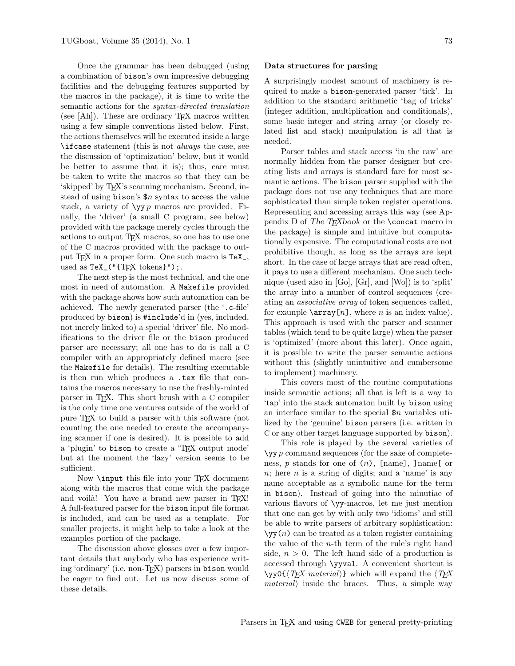Once the grammar has been debugged (using a combination of bison's own impressive debugging facilities and the debugging features supported by the macros in the package), it is time to write the semantic actions for the syntax-directed translation (see  $[Ah]$ ). These are ordinary T<sub>F</sub>X macros written using a few simple conventions listed below. First, the actions themselves will be executed inside a large \ifcase statement (this is not always the case, see the discussion of 'optimization' below, but it would be better to assume that it is); thus, care must be taken to write the macros so that they can be 'skipped' by TEX's scanning mechanism. Second, instead of using bison's  $\text{$n$ syntax to access the value}$ stack, a variety of  $\y$ y *p* macros are provided. Finally, the 'driver' (a small C program, see below) provided with the package merely cycles through the actions to output T<sub>EX</sub> macros, so one has to use one of the C macros provided with the package to output TEX in a proper form. One such macro is TeX\_, used as  $TeX_{-}("TEX tokens}'')$ ;.

The next step is the most technical, and the one most in need of automation. A Makefile provided with the package shows how such automation can be achieved. The newly generated parser (the '.c-file' produced by bison) is #include'd in (yes, included, not merely linked to) a special 'driver' file. No modifications to the driver file or the bison produced parser are necessary; all one has to do is call a C compiler with an appropriately defined macro (see the Makefile for details). The resulting executable is then run which produces a .tex file that contains the macros necessary to use the freshly-minted parser in TEX. This short brush with a C compiler is the only time one ventures outside of the world of pure TEX to build a parser with this software (not counting the one needed to create the accompanying scanner if one is desired). It is possible to add a 'plugin' to bison to create a 'TEX output mode' but at the moment the 'lazy' version seems to be sufficient.

Now **\input** this file into your TFX document along with the macros that come with the package and voila! You have a brand new parser in TFX! A full-featured parser for the bison input file format is included, and can be used as a template. For smaller projects, it might help to take a look at the examples portion of the package.

The discussion above glosses over a few important details that anybody who has experience writing 'ordinary' (i.e. non-TEX) parsers in bison would be eager to find out. Let us now discuss some of these details.

#### Data structures for parsing

A surprisingly modest amount of machinery is required to make a bison-generated parser 'tick'. In addition to the standard arithmetic 'bag of tricks' (integer addition, multiplication and conditionals), some basic integer and string array (or closely related list and stack) manipulation is all that is needed.

Parser tables and stack access 'in the raw' are normally hidden from the parser designer but creating lists and arrays is standard fare for most semantic actions. The bison parser supplied with the package does not use any techniques that are more sophisticated than simple token register operations. Representing and accessing arrays this way (see Appendix D of The T<sub>E</sub>Xbook or the **\concat** macro in the package) is simple and intuitive but computationally expensive. The computational costs are not prohibitive though, as long as the arrays are kept short. In the case of large arrays that are read often, it pays to use a different mechanism. One such technique (used also in [Go], [Gr], and [Wo]) is to 'split' the array into a number of control sequences (creating an associative array of token sequences called, for example  $\arctan[n]$ , where *n* is an index value). This approach is used with the parser and scanner tables (which tend to be quite large) when the parser is 'optimized' (more about this later). Once again, it is possible to write the parser semantic actions without this (slightly unintuitive and cumbersome to implement) machinery.

This covers most of the routine computations inside semantic actions; all that is left is a way to 'tap' into the stack automaton built by bison using an interface similar to the special  $\mathop{\$n}$  variables utilized by the 'genuine' bison parsers (i.e. written in C or any other target language supported by bison).

This role is played by the several varieties of  $\y$  p command sequences (for the sake of completeness, p stands for one of  $(n)$ , [name], ]name[ or  $n$ ; here  $n$  is a string of digits; and a 'name' is any name acceptable as a symbolic name for the term in bison). Instead of going into the minutiae of various flavors of \yy-macros, let me just mention that one can get by with only two 'idioms' and still be able to write parsers of arbitrary sophistication:  $\y(y(n))$  can be treated as a token register containing the value of the *n*-th term of the rule's right hand side,  $n > 0$ . The left hand side of a production is accessed through \yyval. A convenient shortcut is  $\y0\{\langle TEX \text{ material}\rangle\}$  which will expand the  $\langle TEX \rangle$  $material$  inside the braces. Thus, a simple way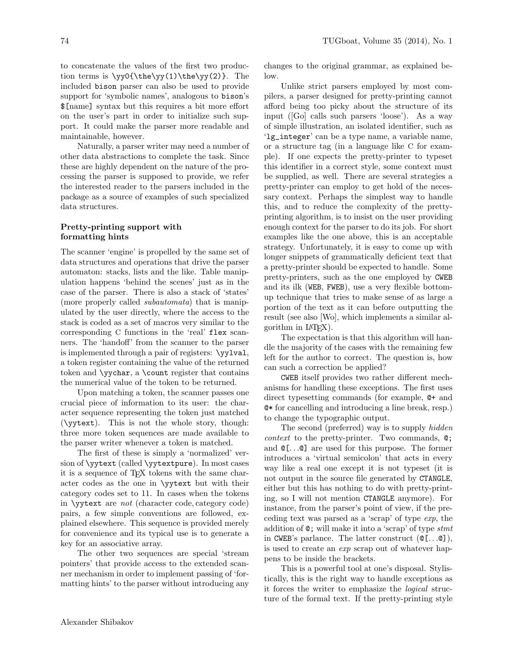to concatenate the values of the first two production terms is  $\yy0{\thelyy(1)}\the\yy(2)$ . The included bison parser can also be used to provide support for 'symbolic names', analogous to bison's \$[name] syntax but this requires a bit more effort on the user's part in order to initialize such support. It could make the parser more readable and maintainable, however.

Naturally, a parser writer may need a number of other data abstractions to complete the task. Since these are highly dependent on the nature of the processing the parser is supposed to provide, we refer the interested reader to the parsers included in the package as a source of examples of such specialized data structures.

# Pretty-printing support with formatting hints

The scanner 'engine' is propelled by the same set of data structures and operations that drive the parser automaton: stacks, lists and the like. Table manipulation happens 'behind the scenes' just as in the case of the parser. There is also a stack of 'states' (more properly called subautomata) that is manipulated by the user directly, where the access to the stack is coded as a set of macros very similar to the corresponding C functions in the 'real' flex scanners. The 'handoff' from the scanner to the parser is implemented through a pair of registers: \yylval, a token register containing the value of the returned token and \yychar, a \count register that contains the numerical value of the token to be returned.

Upon matching a token, the scanner passes one crucial piece of information to its user: the character sequence representing the token just matched (\yytext). This is not the whole story, though: three more token sequences are made available to the parser writer whenever a token is matched.

The first of these is simply a 'normalized' version of \yytext (called \yytextpure). In most cases it is a sequence of TEX tokens with the same character codes as the one in \yytext but with their category codes set to 11. In cases when the tokens in \yytext are not (character code, category code) pairs, a few simple conventions are followed, explained elsewhere. This sequence is provided merely for convenience and its typical use is to generate a key for an associative array.

The other two sequences are special 'stream pointers' that provide access to the extended scanner mechanism in order to implement passing of 'formatting hints' to the parser without introducing any

changes to the original grammar, as explained below.

Unlike strict parsers employed by most compilers, a parser designed for pretty-printing cannot afford being too picky about the structure of its input ([Go] calls such parsers 'loose'). As a way of simple illustration, an isolated identifier, such as 'lg\_integer' can be a type name, a variable name, or a structure tag (in a language like C for example). If one expects the pretty-printer to typeset this identifier in a correct style, some context must be supplied, as well. There are several strategies a pretty-printer can employ to get hold of the necessary context. Perhaps the simplest way to handle this, and to reduce the complexity of the prettyprinting algorithm, is to insist on the user providing enough context for the parser to do its job. For short examples like the one above, this is an acceptable strategy. Unfortunately, it is easy to come up with longer snippets of grammatically deficient text that a pretty-printer should be expected to handle. Some pretty-printers, such as the one employed by CWEB and its ilk (WEB, FWEB), use a very flexible bottomup technique that tries to make sense of as large a portion of the text as it can before outputting the result (see also [Wo], which implements a similar algorithm in  $L^2T F X$ ).

The expectation is that this algorithm will handle the majority of the cases with the remaining few left for the author to correct. The question is, how can such a correction be applied?

CWEB itself provides two rather different mechanisms for handling these exceptions. The first uses direct typesetting commands (for example, @+ and @\* for cancelling and introducing a line break, resp.) to change the typographic output.

The second (preferred) way is to supply *hidden* context to the pretty-printer. Two commands, @; and @[. . .@] are used for this purpose. The former introduces a 'virtual semicolon' that acts in every way like a real one except it is not typeset (it is not output in the source file generated by CTANGLE, either but this has nothing to do with pretty-printing, so I will not mention CTANGLE anymore). For instance, from the parser's point of view, if the preceding text was parsed as a 'scrap' of type exp, the addition of  $\mathcal{Q}$ ; will make it into a 'scrap' of type stmt in CWEB's parlance. The latter construct (@[. . .@]), is used to create an exp scrap out of whatever happens to be inside the brackets.

This is a powerful tool at one's disposal. Stylistically, this is the right way to handle exceptions as it forces the writer to emphasize the logical structure of the formal text. If the pretty-printing style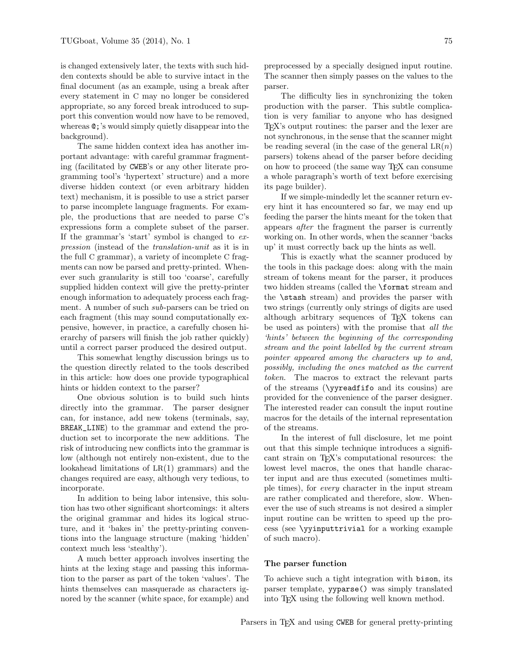is changed extensively later, the texts with such hidden contexts should be able to survive intact in the final document (as an example, using a break after every statement in C may no longer be considered appropriate, so any forced break introduced to support this convention would now have to be removed, whereas @;'s would simply quietly disappear into the background).

The same hidden context idea has another important advantage: with careful grammar fragmenting (facilitated by CWEB's or any other literate programming tool's 'hypertext' structure) and a more diverse hidden context (or even arbitrary hidden text) mechanism, it is possible to use a strict parser to parse incomplete language fragments. For example, the productions that are needed to parse C's expressions form a complete subset of the parser. If the grammar's 'start' symbol is changed to expression (instead of the translation-unit as it is in the full C grammar), a variety of incomplete C fragments can now be parsed and pretty-printed. Whenever such granularity is still too 'coarse', carefully supplied hidden context will give the pretty-printer enough information to adequately process each fragment. A number of such sub-parsers can be tried on each fragment (this may sound computationally expensive, however, in practice, a carefully chosen hierarchy of parsers will finish the job rather quickly) until a correct parser produced the desired output.

This somewhat lengthy discussion brings us to the question directly related to the tools described in this article: how does one provide typographical hints or hidden context to the parser?

One obvious solution is to build such hints directly into the grammar. The parser designer can, for instance, add new tokens (terminals, say, BREAK\_LINE) to the grammar and extend the production set to incorporate the new additions. The risk of introducing new conflicts into the grammar is low (although not entirely non-existent, due to the lookahead limitations of LR(1) grammars) and the changes required are easy, although very tedious, to incorporate.

In addition to being labor intensive, this solution has two other significant shortcomings: it alters the original grammar and hides its logical structure, and it 'bakes in' the pretty-printing conventions into the language structure (making 'hidden' context much less 'stealthy').

A much better approach involves inserting the hints at the lexing stage and passing this information to the parser as part of the token 'values'. The hints themselves can masquerade as characters ignored by the scanner (white space, for example) and

The difficulty lies in synchronizing the token production with the parser. This subtle complication is very familiar to anyone who has designed TEX's output routines: the parser and the lexer are not synchronous, in the sense that the scanner might be reading several (in the case of the general  $LR(n)$ ) parsers) tokens ahead of the parser before deciding on how to proceed (the same way TEX can consume a whole paragraph's worth of text before exercising its page builder).

If we simple-mindedly let the scanner return every hint it has encountered so far, we may end up feeding the parser the hints meant for the token that appears after the fragment the parser is currently working on. In other words, when the scanner 'backs up' it must correctly back up the hints as well.

This is exactly what the scanner produced by the tools in this package does: along with the main stream of tokens meant for the parser, it produces two hidden streams (called the \format stream and the \stash stream) and provides the parser with two strings (currently only strings of digits are used although arbitrary sequences of TEX tokens can be used as pointers) with the promise that all the 'hints' between the beginning of the corresponding stream and the point labelled by the current stream pointer appeared among the characters up to and, possibly, including the ones matched as the current token. The macros to extract the relevant parts of the streams (\yyreadfifo and its cousins) are provided for the convenience of the parser designer. The interested reader can consult the input routine macros for the details of the internal representation of the streams.

In the interest of full disclosure, let me point out that this simple technique introduces a significant strain on TEX's computational resources: the lowest level macros, the ones that handle character input and are thus executed (sometimes multiple times), for every character in the input stream are rather complicated and therefore, slow. Whenever the use of such streams is not desired a simpler input routine can be written to speed up the process (see \yyinputtrivial for a working example of such macro).

# The parser function

To achieve such a tight integration with bison, its parser template, yyparse() was simply translated into TEX using the following well known method.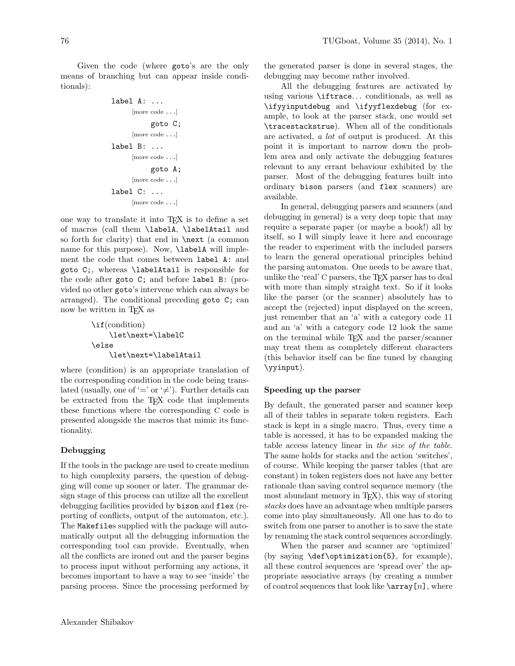Given the code (where goto's are the only means of branching but can appear inside conditionals):

```
label A: ...
      [more code . . .]
            goto C;
      [more code . . .]
label B: ...
      [more code . . .]
            goto A;
      [more code . . .]
label C: ...
      [more code . . .]
```
one way to translate it into TEX is to define a set of macros (call them \labelA, \labelAtail and so forth for clarity) that end in **\next** (a common name for this purpose). Now, **\labelA** will implement the code that comes between label A: and goto C;, whereas \labelAtail is responsible for the code after goto C; and before label B: (provided no other goto's intervene which can always be arranged). The conditional preceding goto C; can now be written in TEX as

\if(condition) \let\next=\labelC \else \let\next=\labelAtail

where (condition) is an appropriate translation of the corresponding condition in the code being translated (usually, one of '=' or ' $\neq$ '). Further details can be extracted from the T<sub>E</sub>X code that implements these functions where the corresponding C code is presented alongside the macros that mimic its functionality.

# Debugging

If the tools in the package are used to create medium to high complexity parsers, the question of debugging will come up sooner or later. The grammar design stage of this process can utilize all the excellent debugging facilities provided by bison and flex (reporting of conflicts, output of the automaton, etc.). The Makefiles supplied with the package will automatically output all the debugging information the corresponding tool can provide. Eventually, when all the conflicts are ironed out and the parser begins to process input without performing any actions, it becomes important to have a way to see 'inside' the parsing process. Since the processing performed by

the generated parser is done in several stages, the debugging may become rather involved.

All the debugging features are activated by using various \iftrace. . . conditionals, as well as \ifyyinputdebug and \ifyyflexdebug (for example, to look at the parser stack, one would set \tracestackstrue). When all of the conditionals are activated, a lot of output is produced. At this point it is important to narrow down the problem area and only activate the debugging features relevant to any errant behaviour exhibited by the parser. Most of the debugging features built into ordinary bison parsers (and flex scanners) are available.

In general, debugging parsers and scanners (and debugging in general) is a very deep topic that may require a separate paper (or maybe a book!) all by itself, so I will simply leave it here and encourage the reader to experiment with the included parsers to learn the general operational principles behind the parsing automaton. One needs to be aware that, unlike the 'real' C parsers, the TEX parser has to deal with more than simply straight text. So if it looks like the parser (or the scanner) absolutely has to accept the (rejected) input displayed on the screen, just remember that an 'a' with a category code 11 and an 'a' with a category code 12 look the same on the terminal while TEX and the parser/scanner may treat them as completely different characters (this behavior itself can be fine tuned by changing \yyinput).

#### Speeding up the parser

By default, the generated parser and scanner keep all of their tables in separate token registers. Each stack is kept in a single macro. Thus, every time a table is accessed, it has to be expanded making the table access latency linear in the size of the table. The same holds for stacks and the action 'switches', of course. While keeping the parser tables (that are constant) in token registers does not have any better rationale than saving control sequence memory (the most abundant memory in T<sub>E</sub>X), this way of storing stacks does have an advantage when multiple parsers come into play simultaneously. All one has to do to switch from one parser to another is to save the state by renaming the stack control sequences accordingly.

When the parser and scanner are 'optimized' (by saying \def\optimization{5}, for example), all these control sequences are 'spread over' the appropriate associative arrays (by creating a number of control sequences that look like  $\arctan[n]$ , where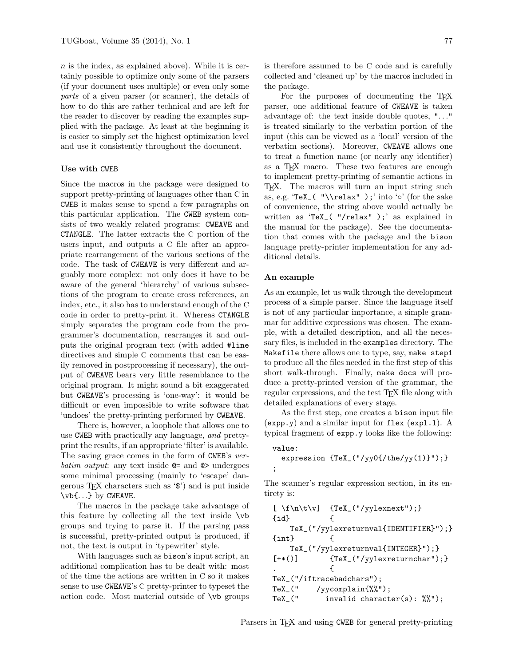$n$  is the index, as explained above). While it is certainly possible to optimize only some of the parsers (if your document uses multiple) or even only some parts of a given parser (or scanner), the details of how to do this are rather technical and are left for the reader to discover by reading the examples supplied with the package. At least at the beginning it is easier to simply set the highest optimization level and use it consistently throughout the document.

### Use with CWEB

Since the macros in the package were designed to support pretty-printing of languages other than C in CWEB it makes sense to spend a few paragraphs on this particular application. The CWEB system consists of two weakly related programs: CWEAVE and CTANGLE. The latter extracts the C portion of the users input, and outputs a C file after an appropriate rearrangement of the various sections of the code. The task of CWEAVE is very different and arguably more complex: not only does it have to be aware of the general 'hierarchy' of various subsections of the program to create cross references, an index, etc., it also has to understand enough of the C code in order to pretty-print it. Whereas CTANGLE simply separates the program code from the programmer's documentation, rearranges it and outputs the original program text (with added #line directives and simple C comments that can be easily removed in postprocessing if necessary), the output of CWEAVE bears very little resemblance to the original program. It might sound a bit exaggerated but CWEAVE's processing is 'one-way': it would be difficult or even impossible to write software that 'undoes' the pretty-printing performed by CWEAVE.

There is, however, a loophole that allows one to use CWEB with practically any language, and prettyprint the results, if an appropriate 'filter' is available. The saving grace comes in the form of CWEB's verbatim output: any text inside  $\mathbf{\Phi}$  and  $\mathbf{\Phi}$  undergoes some minimal processing (mainly to 'escape' dangerous T<sub>F</sub>X characters such as  $\mathcal{F}$ ) and is put inside \vb{. . .} by CWEAVE.

The macros in the package take advantage of this feature by collecting all the text inside \vb groups and trying to parse it. If the parsing pass is successful, pretty-printed output is produced, if not, the text is output in 'typewriter' style.

With languages such as bison's input script, an additional complication has to be dealt with: most of the time the actions are written in C so it makes sense to use CWEAVE's C pretty-printer to typeset the action code. Most material outside of \vb groups

is therefore assumed to be C code and is carefully collected and 'cleaned up' by the macros included in the package.

For the purposes of documenting the TEX parser, one additional feature of CWEAVE is taken advantage of: the text inside double quotes, ". . ." is treated similarly to the verbatim portion of the input (this can be viewed as a 'local' version of the verbatim sections). Moreover, CWEAVE allows one to treat a function name (or nearly any identifier) as a T<sub>F</sub>X macro. These two features are enough to implement pretty-printing of semantic actions in T<sub>F</sub>X. The macros will turn an input string such as, e.g. 'TeX\_( "\\relax" );' into '◦' (for the sake of convenience, the string above would actually be written as 'TeX\_( "/relax" );' as explained in the manual for the package). See the documentation that comes with the package and the bison language pretty-printer implementation for any additional details.

# An example

;

As an example, let us walk through the development process of a simple parser. Since the language itself is not of any particular importance, a simple grammar for additive expressions was chosen. The example, with a detailed description, and all the necessary files, is included in the examples directory. The Makefile there allows one to type, say, make step1 to produce all the files needed in the first step of this short walk-through. Finally, make docs will produce a pretty-printed version of the grammar, the regular expressions, and the test T<sub>F</sub>X file along with detailed explanations of every stage.

As the first step, one creates a bison input file (expp.y) and a similar input for flex (expl.l). A typical fragment of expp.y looks like the following:

```
value:
  expression {TeX_("/yy0{/the/yy(1)}");}
```
The scanner's regular expression section, in its entirety is:

```
[\ \{f\n\cdot\] \ \{Text_{\'}\}{id} {
    TeX_("/yylexreturnval{IDENTIFIER}");}
{int} {
    TeX_("/yylexreturnval{INTEGER}");}
[+*()] {Tex_{(''/yylexreturnchar'')}};. \qquad \qquadTeX_("/iftracebadchars");
TeX_(" /yycomplain{%%");
TeX_{\_}(" \invalid character(s): \frac{9}{2}, \frac{1}{2};
```